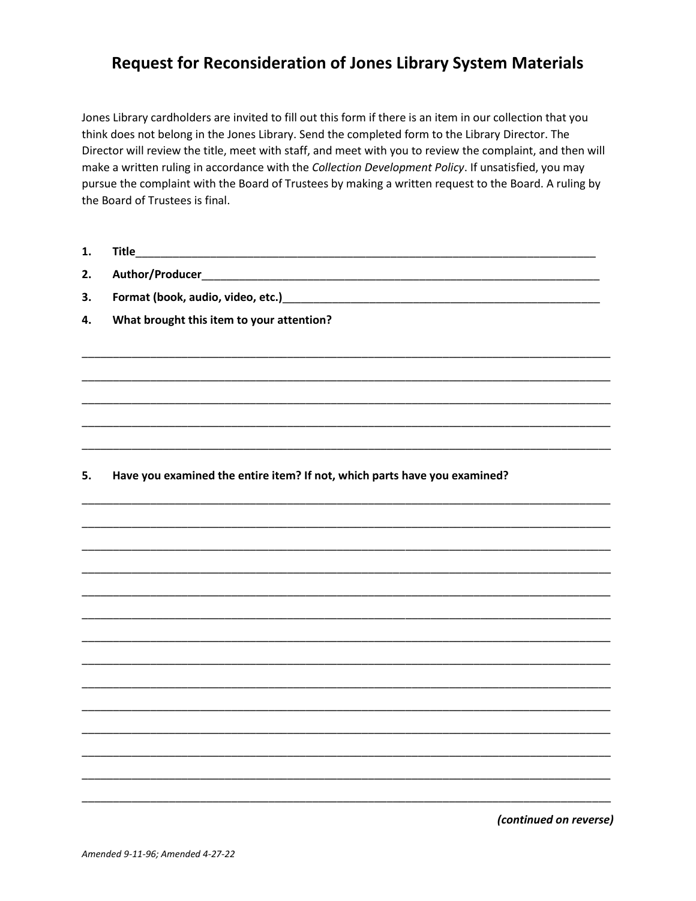## **Request for Reconsideration of Jones Library System Materials**

Jones Library cardholders are invited to fill out this form if there is an item in our collection that you think does not belong in the Jones Library. Send the completed form to the Library Director. The Director will review the title, meet with staff, and meet with you to review the complaint, and then will make a written ruling in accordance with the Collection Development Policy. If unsatisfied, you may pursue the complaint with the Board of Trustees by making a written request to the Board. A ruling by the Board of Trustees is final.

| л<br>ι. |  |
|---------|--|
|         |  |

 $2.$ 

Format (book, audio, video, etc.)<br>
and the contract of the contract of the contract of the contract of the contract of the contract of the contract of the contract of the contract of the contract of the contract of the con  $3.$ 

4. What brought this item to your attention?

## Have you examined the entire item? If not, which parts have you examined? 5.